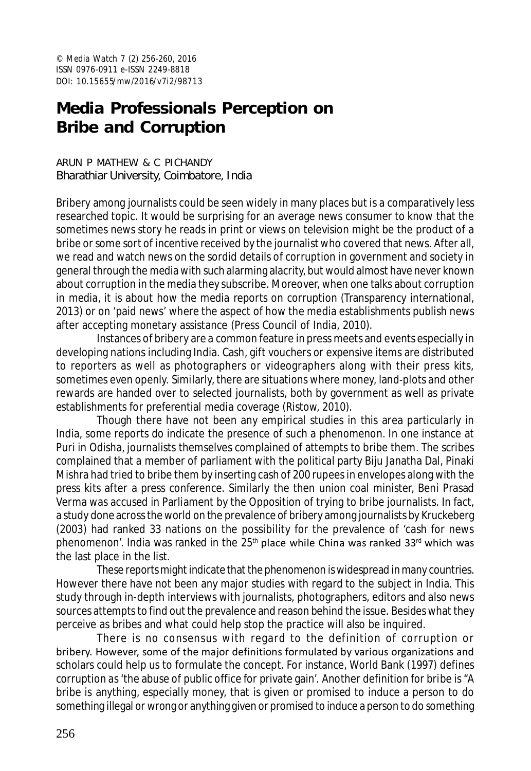## **Media Professionals Perception on Bribe and Corruption**

ARUN P MATHEW & C PICHANDY Bharathiar University, Coimbatore, India

Bribery among journalists could be seen widely in many places but is a comparatively less researched topic. It would be surprising for an average news consumer to know that the sometimes news story he reads in print or views on television might be the product of a bribe or some sort of incentive received by the journalist who covered that news. After all, we read and watch news on the sordid details of corruption in government and society in general through the media with such alarming alacrity, but would almost have never known about corruption in the media they subscribe. Moreover, when one talks about corruption in media, it is about how the media reports on corruption (Transparency international, 2013) or on 'paid news' where the aspect of how the media establishments publish news after accepting monetary assistance (Press Council of India, 2010).

Instances of bribery are a common feature in press meets and events especially in developing nations including India. Cash, gift vouchers or expensive items are distributed to reporters as well as photographers or videographers along with their press kits, sometimes even openly. Similarly, there are situations where money, land-plots and other rewards are handed over to selected journalists, both by government as well as private establishments for preferential media coverage (Ristow, 2010).

Though there have not been any empirical studies in this area particularly in India, some reports do indicate the presence of such a phenomenon. In one instance at Puri in Odisha, journalists themselves complained of attempts to bribe them. The scribes complained that a member of parliament with the political party Biju Janatha Dal, Pinaki Mishra had tried to bribe them by inserting cash of 200 rupees in envelopes along with the press kits after a press conference. Similarly the then union coal minister, Beni Prasad Verma was accused in Parliament by the Opposition of trying to bribe journalists. In fact, a study done across the world on the prevalence of bribery among journalists by Kruckeberg (2003) had ranked 33 nations on the possibility for the prevalence of 'cash for news phenomenon'. India was ranked in the  $25<sup>th</sup>$  place while China was ranked 33<sup>rd</sup> which was the last place in the list.

These reports might indicate that the phenomenon is widespread in many countries. However there have not been any major studies with regard to the subject in India. This study through in-depth interviews with journalists, photographers, editors and also news sources attempts to find out the prevalence and reason behind the issue. Besides what they perceive as bribes and what could help stop the practice will also be inquired.

There is no consensus with regard to the definition of corruption or bribery. However, some of the major definitions formulated by various organizations and scholars could help us to formulate the concept. For instance, World Bank (1997) defines corruption as 'the abuse of public office for private gain'. Another definition for bribe is "A bribe is anything, especially money, that is given or promised to induce a person to do something illegal or wrong or anything given or promised to induce a person to do something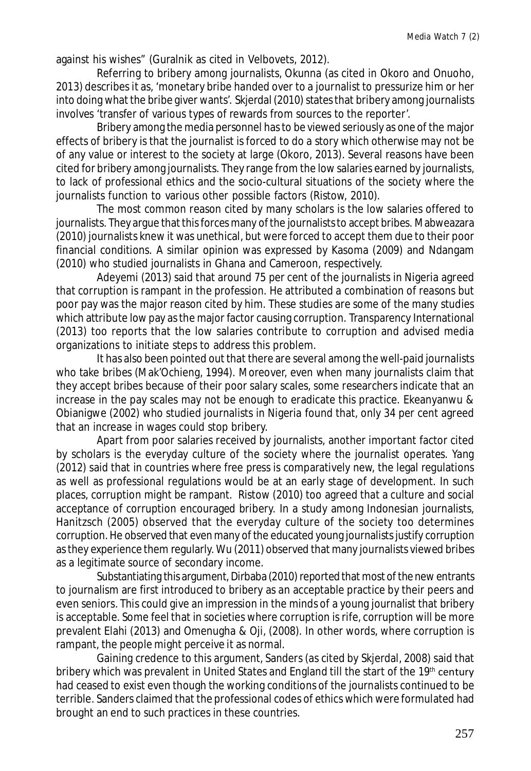against his wishes" (Guralnik as cited in Velbovets, 2012).

Referring to bribery among journalists, Okunna (as cited in Okoro and Onuoho, 2013) describes it as, 'monetary bribe handed over to a journalist to pressurize him or her into doing what the bribe giver wants'. Skjerdal (2010) states that bribery among journalists involves 'transfer of various types of rewards from sources to the reporter'.

Bribery among the media personnel has to be viewed seriously as one of the major effects of bribery is that the journalist is forced to do a story which otherwise may not be of any value or interest to the society at large (Okoro, 2013). Several reasons have been cited for bribery among journalists. They range from the low salaries earned by journalists, to lack of professional ethics and the socio-cultural situations of the society where the journalists function to various other possible factors (Ristow, 2010).

The most common reason cited by many scholars is the low salaries offered to journalists. They argue that this forces many of the journalists to accept bribes. Mabweazara (2010) journalists knew it was unethical, but were forced to accept them due to their poor financial conditions. A similar opinion was expressed by Kasoma (2009) and Ndangam (2010) who studied journalists in Ghana and Cameroon, respectively.

Adeyemi (2013) said that around 75 per cent of the journalists in Nigeria agreed that corruption is rampant in the profession. He attributed a combination of reasons but poor pay was the major reason cited by him. These studies are some of the many studies which attribute low pay as the major factor causing corruption. Transparency International (2013) too reports that the low salaries contribute to corruption and advised media organizations to initiate steps to address this problem.

It has also been pointed out that there are several among the well-paid journalists who take bribes (Mak'Ochieng, 1994). Moreover, even when many journalists claim that they accept bribes because of their poor salary scales, some researchers indicate that an increase in the pay scales may not be enough to eradicate this practice. Ekeanyanwu & Obianigwe (2002) who studied journalists in Nigeria found that, only 34 per cent agreed that an increase in wages could stop bribery.

Apart from poor salaries received by journalists, another important factor cited by scholars is the everyday culture of the society where the journalist operates. Yang (2012) said that in countries where free press is comparatively new, the legal regulations as well as professional regulations would be at an early stage of development. In such places, corruption might be rampant. Ristow (2010) too agreed that a culture and social acceptance of corruption encouraged bribery. In a study among Indonesian journalists, Hanitzsch (2005) observed that the everyday culture of the society too determines corruption. He observed that even many of the educated young journalists justify corruption as they experience them regularly. Wu (2011) observed that many journalists viewed bribes as a legitimate source of secondary income.

Substantiating this argument, Dirbaba (2010) reported that most of the new entrants to journalism are first introduced to bribery as an acceptable practice by their peers and even seniors. This could give an impression in the minds of a young journalist that bribery is acceptable. Some feel that in societies where corruption is rife, corruption will be more prevalent Elahi (2013) and Omenugha & Oji, (2008). In other words, where corruption is rampant, the people might perceive it as normal.

Gaining credence to this argument, Sanders (as cited by Skjerdal, 2008) said that bribery which was prevalent in United States and England till the start of the 19<sup>th</sup> century had ceased to exist even though the working conditions of the journalists continued to be terrible. Sanders claimed that the professional codes of ethics which were formulated had brought an end to such practices in these countries.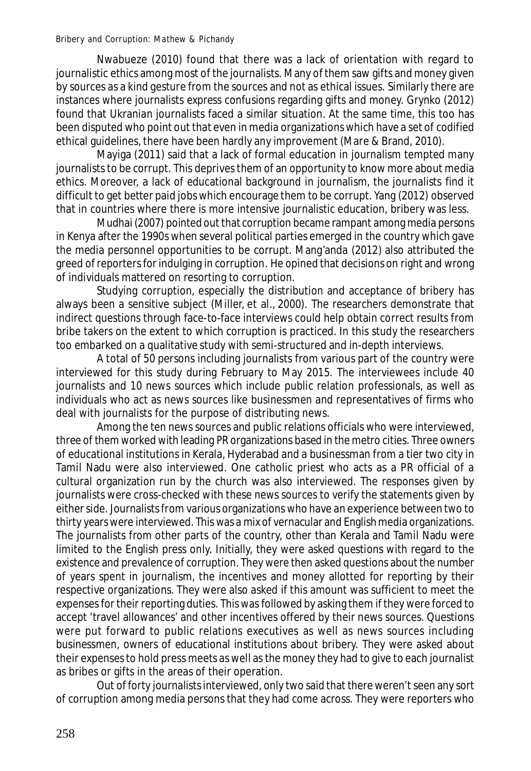Nwabueze (2010) found that there was a lack of orientation with regard to journalistic ethics among most of the journalists. Many of them saw gifts and money given by sources as a kind gesture from the sources and not as ethical issues. Similarly there are instances where journalists express confusions regarding gifts and money. Grynko (2012) found that Ukranian journalists faced a similar situation. At the same time, this too has been disputed who point out that even in media organizations which have a set of codified ethical guidelines, there have been hardly any improvement (Mare & Brand, 2010).

Mayiga (2011) said that a lack of formal education in journalism tempted many journalists to be corrupt. This deprives them of an opportunity to know more about media ethics. Moreover, a lack of educational background in journalism, the journalists find it difficult to get better paid jobs which encourage them to be corrupt. Yang (2012) observed that in countries where there is more intensive journalistic education, bribery was less.

Mudhai (2007) pointed out that corruption became rampant among media persons in Kenya after the 1990s when several political parties emerged in the country which gave the media personnel opportunities to be corrupt. Mang'anda (2012) also attributed the greed of reporters for indulging in corruption. He opined that decisions on right and wrong of individuals mattered on resorting to corruption.

Studying corruption, especially the distribution and acceptance of bribery has always been a sensitive subject (Miller, et al., 2000). The researchers demonstrate that indirect questions through face-to-face interviews could help obtain correct results from bribe takers on the extent to which corruption is practiced. In this study the researchers too embarked on a qualitative study with semi-structured and in-depth interviews.

A total of 50 persons including journalists from various part of the country were interviewed for this study during February to May 2015. The interviewees include 40 journalists and 10 news sources which include public relation professionals, as well as individuals who act as news sources like businessmen and representatives of firms who deal with journalists for the purpose of distributing news.

Among the ten news sources and public relations officials who were interviewed, three of them worked with leading PR organizations based in the metro cities. Three owners of educational institutions in Kerala, Hyderabad and a businessman from a tier two city in Tamil Nadu were also interviewed. One catholic priest who acts as a PR official of a cultural organization run by the church was also interviewed. The responses given by journalists were cross-checked with these news sources to verify the statements given by either side. Journalists from various organizations who have an experience between two to thirty years were interviewed. This was a mix of vernacular and English media organizations. The journalists from other parts of the country, other than Kerala and Tamil Nadu were limited to the English press only. Initially, they were asked questions with regard to the existence and prevalence of corruption. They were then asked questions about the number of years spent in journalism, the incentives and money allotted for reporting by their respective organizations. They were also asked if this amount was sufficient to meet the expenses for their reporting duties. This was followed by asking them if they were forced to accept 'travel allowances' and other incentives offered by their news sources. Questions were put forward to public relations executives as well as news sources including businessmen, owners of educational institutions about bribery. They were asked about their expenses to hold press meets as well as the money they had to give to each journalist as bribes or gifts in the areas of their operation.

Out of forty journalists interviewed, only two said that there weren't seen any sort of corruption among media persons that they had come across. They were reporters who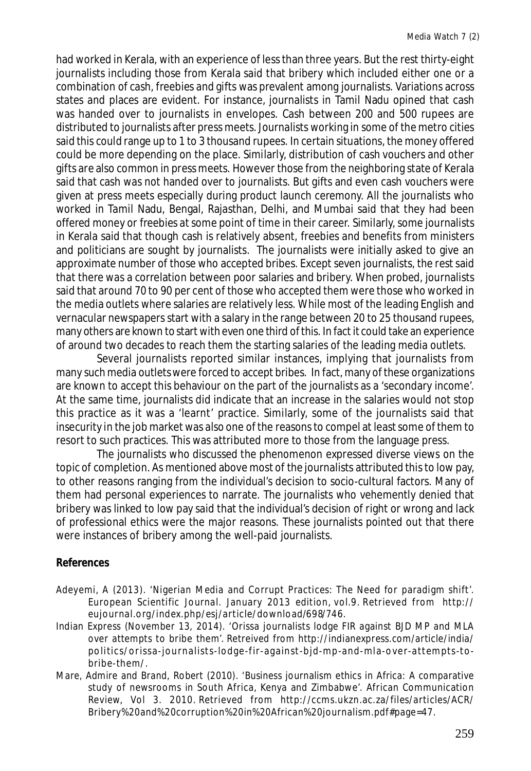had worked in Kerala, with an experience of less than three years. But the rest thirty-eight journalists including those from Kerala said that bribery which included either one or a combination of cash, freebies and gifts was prevalent among journalists. Variations across states and places are evident. For instance, journalists in Tamil Nadu opined that cash was handed over to journalists in envelopes. Cash between 200 and 500 rupees are distributed to journalists after press meets. Journalists working in some of the metro cities said this could range up to 1 to 3 thousand rupees. In certain situations, the money offered could be more depending on the place. Similarly, distribution of cash vouchers and other gifts are also common in press meets. However those from the neighboring state of Kerala said that cash was not handed over to journalists. But gifts and even cash vouchers were given at press meets especially during product launch ceremony. All the journalists who worked in Tamil Nadu, Bengal, Rajasthan, Delhi, and Mumbai said that they had been offered money or freebies at some point of time in their career. Similarly, some journalists in Kerala said that though cash is relatively absent, freebies and benefits from ministers and politicians are sought by journalists. The journalists were initially asked to give an approximate number of those who accepted bribes. Except seven journalists, the rest said that there was a correlation between poor salaries and bribery. When probed, journalists said that around 70 to 90 per cent of those who accepted them were those who worked in the media outlets where salaries are relatively less. While most of the leading English and vernacular newspapers start with a salary in the range between 20 to 25 thousand rupees, many others are known to start with even one third of this. In fact it could take an experience of around two decades to reach them the starting salaries of the leading media outlets.

Several journalists reported similar instances, implying that journalists from many such media outlets were forced to accept bribes. In fact, many of these organizations are known to accept this behaviour on the part of the journalists as a 'secondary income'. At the same time, journalists did indicate that an increase in the salaries would not stop this practice as it was a 'learnt' practice. Similarly, some of the journalists said that insecurity in the job market was also one of the reasons to compel at least some of them to resort to such practices. This was attributed more to those from the language press.

The journalists who discussed the phenomenon expressed diverse views on the topic of completion. As mentioned above most of the journalists attributed this to low pay, to other reasons ranging from the individual's decision to socio-cultural factors. Many of them had personal experiences to narrate. The journalists who vehemently denied that bribery was linked to low pay said that the individual's decision of right or wrong and lack of professional ethics were the major reasons. These journalists pointed out that there were instances of bribery among the well-paid journalists.

## **References**

- Adeyemi, A (2013). 'Nigerian Media and Corrupt Practices: The Need for paradigm shift'. European Scientific Journal. January 2013 edition, vol.9. Retrieved from http:// eujournal.org/index.php/esj/article/download/698/746.
- Indian Express (November 13, 2014). 'Orissa journalists lodge FIR against BJD MP and MLA over attempts to bribe them'. Retreived from http://indianexpress.com/article/india/ po litic s/orissa-journalists-lodge-fir-against-bjd-mp-and-mla-o ver-a ttem pts-tobribe-them/.
- Mare, Admire and Brand, Robert (2010). 'Business journalism ethics in Africa: A comparative study of newsrooms in South Africa, Kenya and Zimbabwe'. African Communication Review, Vol 3. 2010. Retrieved from http://ccms.ukzn.ac.za/files/articles/ACR/ Bribery%20and%20corruption%20in%20African%20journalism.pdf#page=47.